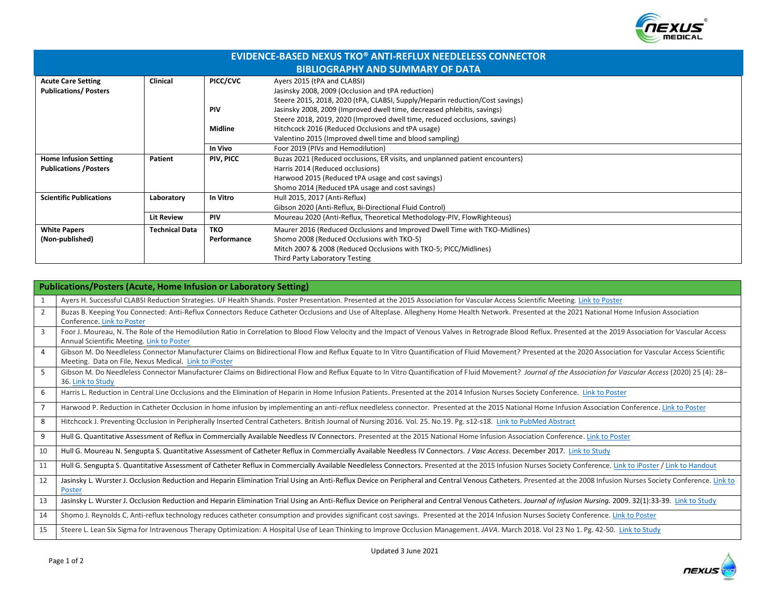

| <b>EVIDENCE-BASED NEXUS TKO® ANTI-REFLUX NEEDLELESS CONNECTOR</b> |                       |             |                                                                              |  |  |
|-------------------------------------------------------------------|-----------------------|-------------|------------------------------------------------------------------------------|--|--|
| <b>BIBLIOGRAPHY AND SUMMARY OF DATA</b>                           |                       |             |                                                                              |  |  |
| <b>Acute Care Setting</b>                                         | <b>Clinical</b>       | PICC/CVC    | Ayers 2015 (tPA and CLABSI)                                                  |  |  |
| <b>Publications/Posters</b>                                       |                       |             | Jasinsky 2008, 2009 (Occlusion and tPA reduction)                            |  |  |
|                                                                   |                       |             | Steere 2015, 2018, 2020 (tPA, CLABSI, Supply/Heparin reduction/Cost savings) |  |  |
|                                                                   |                       | <b>PIV</b>  | Jasinsky 2008, 2009 (Improved dwell time, decreased phlebitis, savings)      |  |  |
|                                                                   |                       |             | Steere 2018, 2019, 2020 (Improved dwell time, reduced occlusions, savings)   |  |  |
|                                                                   |                       | Midline     | Hitchcock 2016 (Reduced Occlusions and tPA usage)                            |  |  |
|                                                                   |                       |             | Valentino 2015 (Improved dwell time and blood sampling)                      |  |  |
|                                                                   |                       | In Vivo     | Foor 2019 (PIVs and Hemodilution)                                            |  |  |
| <b>Home Infusion Setting</b>                                      | Patient               | PIV, PICC   | Buzas 2021 (Reduced occlusions, ER visits, and unplanned patient encounters) |  |  |
| <b>Publications / Posters</b>                                     |                       |             | Harris 2014 (Reduced occlusions)                                             |  |  |
|                                                                   |                       |             | Harwood 2015 (Reduced tPA usage and cost savings)                            |  |  |
|                                                                   |                       |             | Shomo 2014 (Reduced tPA usage and cost savings)                              |  |  |
| <b>Scientific Publications</b>                                    | Laboratory            | In Vitro    | Hull 2015, 2017 (Anti-Reflux)                                                |  |  |
|                                                                   |                       |             | Gibson 2020 (Anti-Reflux, Bi-Directional Fluid Control)                      |  |  |
|                                                                   | <b>Lit Review</b>     | <b>PIV</b>  | Moureau 2020 (Anti-Reflux, Theoretical Methodology-PIV, FlowRighteous)       |  |  |
| <b>White Papers</b>                                               | <b>Technical Data</b> | <b>TKO</b>  | Maurer 2016 (Reduced Occlusions and Improved Dwell Time with TKO-Midlines)   |  |  |
| (Non-published)                                                   |                       | Performance | Shomo 2008 (Reduced Occlusions with TKO-5)                                   |  |  |
|                                                                   |                       |             | Mitch 2007 & 2008 (Reduced Occlusions with TKO-5; PICC/Midlines)             |  |  |
|                                                                   |                       |             | Third Party Laboratory Testing                                               |  |  |

| <b>Publications/Posters (Acute, Home Infusion or Laboratory Setting)</b> |                                                                                                                                                                                                                                                                       |  |  |
|--------------------------------------------------------------------------|-----------------------------------------------------------------------------------------------------------------------------------------------------------------------------------------------------------------------------------------------------------------------|--|--|
| 1                                                                        | Ayers H. Successful CLABSI Reduction Strategies. UF Health Shands. Poster Presentation. Presented at the 2015 Association for Vascular Access Scientific Meeting. Link to Poster                                                                                      |  |  |
| 2                                                                        | Buzas B. Keeping You Connected: Anti-Reflux Connectors Reduce Catheter Occlusions and Use of Alteplase. Allegheny Home Health Network. Presented at the 2021 National Home Infusion Association<br>Conference. Link to Poster                                         |  |  |
| $\overline{3}$                                                           | Foor J. Moureau, N. The Role of the Hemodilution Ratio in Correlation to Blood Flow Velocity and the Impact of Venous Valves in Retrograde Blood Reflux. Presented at the 2019 Association for Vascular Access<br>Annual Scientific Meeting. Link to Poster           |  |  |
| $\overline{4}$                                                           | Gibson M. Do Needleless Connector Manufacturer Claims on Bidirectional Flow and Reflux Equate to In Vitro Quantification of Fluid Movement? Presented at the 2020 Association for Vascular Access Scientific<br>Meeting. Data on File, Nexus Medical. Link to iPoster |  |  |
| 5                                                                        | Gibson M. Do Needleless Connector Manufacturer Claims on Bidirectional Flow and Reflux Equate to In Vitro Quantification of Fluid Movement? Journal of the Association for Vascular Access (2020) 25 (4): 28-<br>36. Link to Study                                    |  |  |
| 6                                                                        | Harris L. Reduction in Central Line Occlusions and the Elimination of Heparin in Home Infusion Patients. Presented at the 2014 Infusion Nurses Society Conference. Link to Poster                                                                                     |  |  |
| $\overline{7}$                                                           | Harwood P. Reduction in Catheter Occlusion in home infusion by implementing an anti-reflux needleless connector. Presented at the 2015 National Home Infusion Association Conference. Link to Poster                                                                  |  |  |
| 8                                                                        | Hitchcock J. Preventing Occlusion in Peripherally Inserted Central Catheters. British Journal of Nursing 2016. Vol. 25. No.19. Pg. s12-s18. Link to PubMed Abstract                                                                                                   |  |  |
| 9                                                                        | Hull G. Quantitative Assessment of Reflux in Commercially Available Needless IV Connectors. Presented at the 2015 National Home Infusion Association Conference. Link to Poster                                                                                       |  |  |
| 10                                                                       | Hull G. Moureau N. Sengupta S. Quantitative Assessment of Catheter Reflux in Commercially Available Needless IV Connectors. J Vasc Access. December 2017. Link to Study                                                                                               |  |  |
| 11                                                                       | Hull G. Sengupta S. Quantitative Assessment of Catheter Reflux in Commercially Available Needleless Connectors. Presented at the 2015 Infusion Nurses Society Conference. Link to iPoster / Link to Handout                                                           |  |  |
| 12                                                                       | Jasinsky L. Wurster J. Occlusion Reduction and Heparin Elimination Trial Using an Anti-Reflux Device on Peripheral and Central Venous Catheters. Presented at the 2008 Infusion Nurses Society Conference. Link to<br>Poster                                          |  |  |
| 13                                                                       | Jasinsky L. Wurster J. Occlusion Reduction and Heparin Elimination Trial Using an Anti-Reflux Device on Peripheral and Central Venous Catheters. Journal of Infusion Nursing. 2009. 32(1):33-39. Link to Study                                                        |  |  |
| 14                                                                       | Shomo J. Reynolds C. Anti-reflux technology reduces catheter consumption and provides significant cost savings. Presented at the 2014 Infusion Nurses Society Conference. Link to Poster                                                                              |  |  |
| 15                                                                       | Steere L. Lean Six Sigma for Intravenous Therapy Optimization: A Hospital Use of Lean Thinking to Improve Occlusion Management. JAVA. March 2018. Vol 23 No 1. Pg. 42-50. Link to Study                                                                               |  |  |